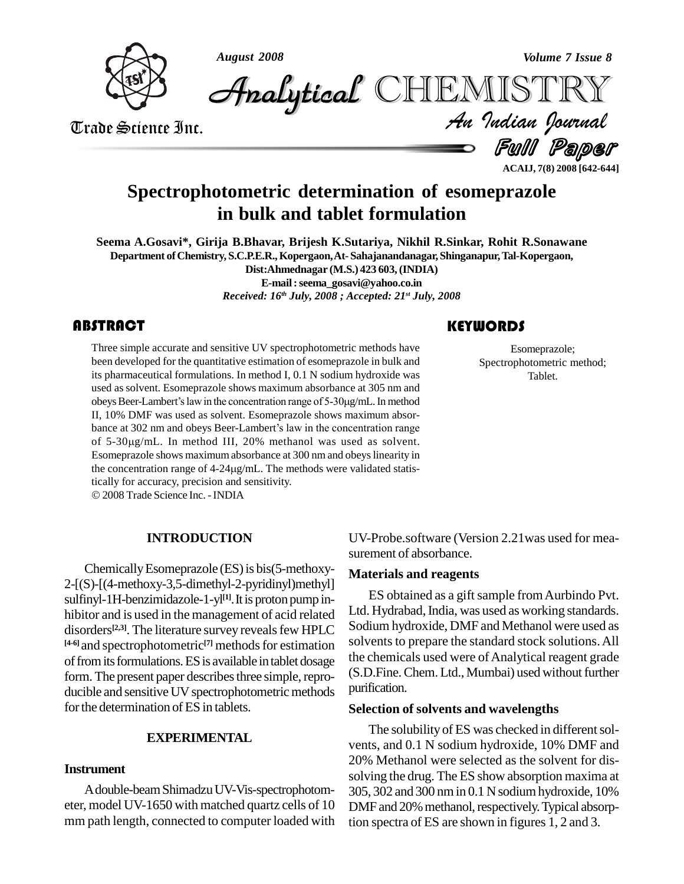

*August 2008 Volume 7 Issue 8*

**Analytical** CHEMISTRY

Ful Paper **ACAIJ, 7(8) 2008 [642-644]** Analytical CHEMISTRY<br>Trade Science Inc. **Analytical CHEMISTRY** 

# **Spectrophotometric determination of esomeprazole in bulk and tablet formulation**

**Seema A.Gosavi\*, Girija B.Bhavar, Brijesh K.Sutariya, Nikhil R.Sinkar, Rohit R.Sonawane Department ofChemistry, S.C.P.E.R.,Kopergaon,At-Sahajanandanagar,Shinganapur,Tal-Kopergaon, Dist:Ahmednagar (M.S.) 423 603,(INDIA) E-mail:[seema\\_gosavi@yahoo.co.in](mailto:seema_gosavi@yahoo.co.in)**

*Received: 16 th July, 2008 ; Accepted: 21 st July, 2008*

# **ABSTRACT**

Three simple accurate and<br>been developed for the quantity pharmaceutical formul Three simple accurate and sensitive UV spectrophotometric methods have been developed for the quantitative estimation of esomeprazole in bulk and its pharmaceutical formulations. In method I, 0.1 N sodium hydroxide was used as solvent. Esomeprazole shows maximum absorbance at 305 nm and obeys Beer-Lambert's law in the concentration range of 5-30µg/mL. In method used as solvent. Esomeprazole shows maximum absorbance at 305 nm and II, 10% DMF was used as solvent. Esomeprazole shows maximum absor obeys Beer-Lambert's law in the concentration range of 5-30µg/mL. In method II, 10% DMF was used as solvent. Esomeprazole shows maximum absorbance at 302 nm and obeys Beer-Lambert's law in the concentration range of 5-30g/mL. In method III,20% methanol was used as solvent. Esomeprazole shows maximumabsorbance at 300 nm and obeyslinearity in of 5-30µg/mL. In method III, 20% methanol was used as solvent.<br>Esomeprazole shows maximum absorbance at 300 nm and obeys linearity in the concentration range of 4-24µg/mL. The methods were validated statisthe concentration range of  $4-24\mu g/mL$ . The methods were validated statistically for accuracy, precision and sensitivity. 2008Trade Science Inc. -INDIA

**INTRODUCTION**

Chemically Esomeprazole (ES) is bis(5-methoxy-2-[(S)-[(4-methoxy-3,5-dimethyl-2-pyridinyl)methyl] sulfinyl-1H-benzimidazole-1-yl<sup>[1]</sup>. It is proton pump inhibitor and is used in the management of acid related disorders<sup>[2,3]</sup>. The literature survey reveals few HPLC  $\sim$  Sodium n. <sup>[4-6]</sup> and spectrophotometric<sup>[7]</sup> methods for estimation solven of from its formulations. ES is available in tablet dosage form. The present paper describes three simple, reproducible and sensitive UV spectrophotometric methods for the determination of ES in tablets.

# **EXPERIMENTAL**

# **Instrument**

Adouble-beamShimadzuUV-Vis-spectrophotom eter, model UV-1650 with matched quartz cells of 10 mm path length, connected to computer loaded with

# **KEYWORDS**

Esomeprazole<br>Spectrophotometric<br>Tablet. Esomeprazole; Spectrophotometric method; Tablet.

UV-Probe.software (Version 2.21was used for mea surement of absorbance.

# **Materials and reagents**

ES obtained as a gift sample from Aurbindo Pvt. Ltd. Hydrabad, India, was used as working standards. Sodium hydroxide, DMF and Methanol were used as solvents to prepare the standard stock solutions. All the chemicals used were of Analytical reagent grade (S.D.Fine. Chem. Ltd., Mumbai) used without further purification.

# **Selection of solvents and wavelengths**

The solubility of ES was checked in different solvents, and 0.1 N sodium hydroxide, 10% DMF and 20% Methanol were selected as the solvent for dissolving the drug. The ES show absorption maxima at 305, 302 and 300 nm in 0.1 N sodium hydroxide, 10% DMF and 20% methanol, respectively. Typical absorption spectra of ES are shown in figures 1, 2 and 3.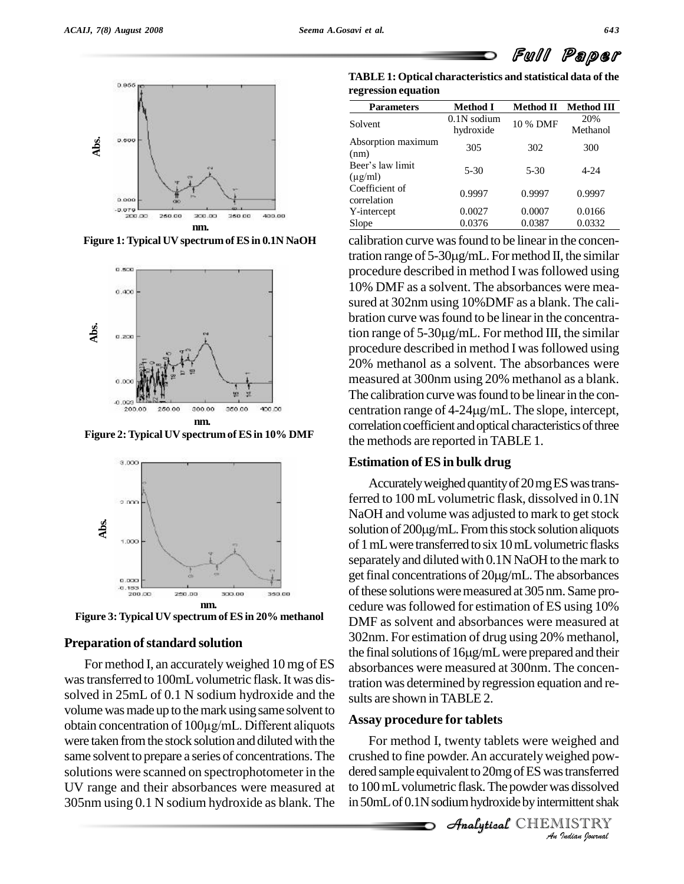





**Figure 2:Typical UV spectrum of ES in 10% DMF**



**Figure 3:Typical UV spectrum of ES in 20% methanol**

#### **Preparation of standard solution**

For method I, an accuratelyweighed 10 mg of ES was transferred to 100mL volumetric flask. It was dissolved in 25mL of 0.1 N sodium hydroxide and the sults are shown in TABLE 2. volume was made up to the mark using same solvent to obtain concentration of <sup>100</sup>µg/mL. Different aliquots were taken from the stock solution and diluted with the same solvent to prepare a series of concentrations.The solutions were scanned on spectrophotometer in the UV range and their absorbances were measured at 305nm using 0.1 N sodium hydroxide as blank. The

**TABLE1: Optical characteristics and statistical data of the regression equation**

| <b>Parameters</b>                | <b>Method I</b>            | <b>Method II</b> | <b>Method III</b> |
|----------------------------------|----------------------------|------------------|-------------------|
| Solvent                          | $0.1N$ sodium<br>hydroxide | 10 % DMF         | 20%<br>Methanol   |
| Absorption maximum<br>(nm)       | 305                        | 302              | 300               |
| Beer's law limit<br>$(\mu$ g/ml) | $5 - 30$                   | $5 - 30$         | $4 - 24$          |
| Coefficient of<br>correlation    | 0.9997                     | 0.9997           | 0.9997            |
| Y-intercept                      | 0.0027                     | 0.0007           | 0.0166            |
| Slope                            | 0.0376                     | 0.0387           | 0.0332            |

calibration curve was found to be linear in the concentration range of  $5-30\mu g/mL$ . For method II, the similar procedure described in method I was followed using 10% DMF as a solvent. The absorbances were mea sured at 302nm using 10%DMF as a blank. The cali bration curve was found to be linear in the concentration range of  $5-30\mu\text{g/mL}$ . For method III, the similar procedure described in method I was followed using 20% methanol as a solvent. The absorbances were measured at 300nm using 20% methanol as a blank. The calibration curve was found to be linear in the concentration range of 4-24µg/mL. The slope, intercept, correlation coefficient and optical characteristics of three the methods are reported in TABLE 1.

#### **Estimation of ES in bulk drug**

Accurately weighed quantity of 20 mg ES was transferred to 100 mL volumetric flask, dissolved in 0.1N<br>NaOH and volume was adjusted to mark to get stock<br>solution of 200μg/mL. From this stock solution aliquots NaOH and volume was adjusted to mark to get stock of 1 mL were transferred to six 10 mL volumetric flasks<br>separately and diluted with 0.1N NaOH to the mark to<br>get final concentrations of 20µg/mL. The absorbances separately and diluted with 0.1N NaOH to the mark to of these solutions were measured at 305 nm. Same procedure wasfollowed for estimation of ES using 10% DMF as solvent and absorbances were measured at 302nm. For estimation of drug using 20% methanol, the final solutions of  $16\mu g/mL$  were prepared and their absorbances were measured at 300nm. The concentration was determined by regression equation and re-

#### **Assay procedure for tablets**

For method I, twenty tablets were weighed and *I*<br>*Indian Indian*<br>*Indian*<br>*IISTRY*<br>*Indian bournal* For memod **i**, twenty tablets were weighed and crushed to fine powder. An accurately weighed powdered sample equivalent to 20mg of ES was transferred to 100 mL volumetric flask. The powder was dissolved in 50mL of 0.1N sodium hydroxide by intermittent shak

**Analytical** CHEMISTRY